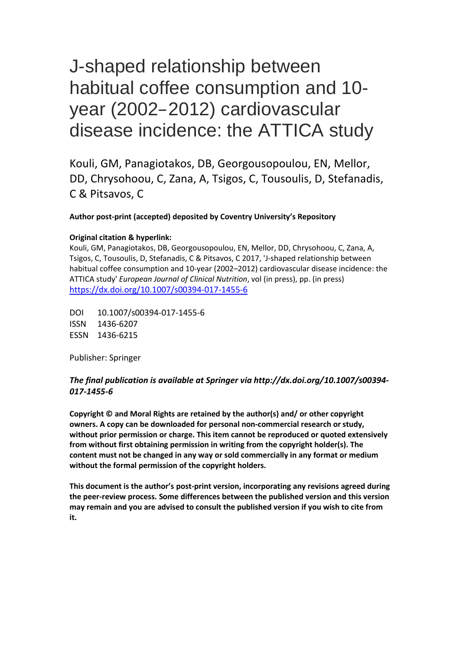## **J-Shaped relationship between habitual coffee consumption and 10-year (2002-2012) Cardiovascular Disease incidence: the ATTICA Study**

Georgia-Maria KOULI<sup>1</sup>, MSc, Demosthenes B. PANAGIOTAKOS<sup>1</sup>, PhD, Ekavi N GEORGOUSOPOULOU<sup>1,2</sup>, PhD, Duane D. MELLOR<sup>2</sup>, PhD, Christina CHRYSOHOOU<sup>3</sup>, MD, MSc, PhD, Adela ZANA<sup>1</sup>, MSc, Constantine TSIGOS<sup>1</sup>, MD, PhD, Dimitrios TOUSOULIS<sup>3</sup>, MD, PhD, Christodoulos STEFANADIS<sup>3</sup>, MD, PhD, Christos PITSAVOS<sup>3</sup>, MD, PhD.

 $1$  Department of Nutrition and Dietetics, School of Health Science and Education Harokopio University, Athens, Greece; <sup>2</sup> Faculty of Health, University of Canberra, Canberra, Australian Capital Territory, Australia; <sup>3</sup> First Cardiology Clinic, School of Medicine, University of Athens, Greece; All authors state that they take the responsibility for all aspects of the reliability and freedom from bias of the data presented and their discussed interpretation.

**Corresponding author**

Professor Demosthenes B. Panagiotakos 46 Paleon Polemiston St., Glyfada, Attica, 166 74, Greece Tel. +30 210-9549332, & +30 210-9600719 (Fax) **E-mail[. d.b.panagiotakos@usa.net](mailto:chrysohoou@usa.net)**

## **ABSTRACT**

**Purpose:** The purpose of this work was to evaluate the association between coffee consumption and 10-year cardiovascular disease (CVD) incidence in the ATTICA Study, and whether this is modified by baseline the presence or absence of-metabolic syndrome (MetS) at baseline. **Methods:** During 2001- 2002, 3042 healthy adults (1514 men and 1528 women) living in the greater area of Athens were voluntarily recruited to the ATTICA study. In 2011-2012, the 10-year follow-up was performed in 2583 participants (15% of the participants were lost to followup). Coffee consumption was assessed by a validated food-frequency questionnaire at baseline (abstention, low, moderate, heavy). Incidence of fatal or non-fatal CVD event was recorded using WHO-ICD-10 criteria and MetS was defined by the National Cholesterol Education Program Adult Treatment panel III (revised) criteria. **Results**: Overall, after controlling for potential CVD risk factors, the

multivariate analysis revealed a J-shaped association between daily coffee drinking and the risk for a first CVD event in a 10-year period. Particularly, the odds ratio for low (<150 ml/d), moderate (150-250 ml/d) and heavy coffee consumption (>250 ml/d), compared to abstention, were 0.44 (95%CI: 0.29-0.68), 0.49 (95%CI: 0.27-0.92) and 2.48 (95%CI: 1.56-1.93) respectively. This inverse association was also verified among participants without MetS at baseline but not among participants with the MetS. participants with the MetS. **Conclusions:** These data supports the protective effect of drinking moderate quantities of coffee (equivalent to approximately 1-2 cups daily) against CVD incidents. This protective effect was only significant for participants without MetS at baseline. **Key words:** Cardiovascular Diseases; Metabolic Syndrome Χ; coffee; inflammation

## **1. Introduction**

Coffee is one of the most commonly consumed beverages around the world. Because of its popularity, investigating the association between coffee consumption and chronic disease risk has important public health consequences. Coffee is a complex chemical mixture, containing >1000 bioactive compounds with potential beneficial properties, including insulin-sensitizing and antiinflammatory effects [1, 2]. Notably, chronic low-grade inflammation underlies the pathogenesis of all components of metabolic syndrome (MetS): hyperglycemia, insulin resistance, hypertension, obesity, and dyslipidemia, all of which are risk factors for cardiovascular disease. Therefore, dietary interventions designed to reduce the inflammatory procedure could be of benefit to reduce the cardiovascular disease (CVD) risk [3]. Existing data do support the effect of habitual coffee consumption on cardiovascular health.

Since 2000, the association between coffee consumption and other CVD outcomes including stroke, heart failure, and total CVD mortality has been widely investigated. However, the nature of this association remains unclear since many prospective cohort studies reported conflicting data. A recent cohort study by Liu et al found that coffee consumption (4 cups/day) was associated with increased mortality, but the association was no longer significant for persons under 55 years old [4], whereas the EPIC study reported that coffee consumption was not associated with risk of CVD [5]. Interestingly, in 2014, a meta-analysis of 21 prospective studies and 997,464 participants (121,915 deaths), found a non-linear dose-response relationship between coffee and CVD mortality suggesting that the largest risk reductions were observed for 3 cups/day for CVD mortality (21% lower risk) [2]. These results for coffee-CVD mortality were comparable to those reported in a previous meta-analysis including 36 studies and 1,279,804 participants (36,352 CVD cases) that strengthened the coffee-CVD non-linear U-shaped relationship, i.e. moderate coffee consumption (3-5 cups/day) was associated with lower CVD risk, and heavy coffee consumption ( $\geq 6$  cups/day) was neither associated with a higher nor a lower risk of CVD [6].

While current research aims to reveal the actual association between coffee consumption and CVD risk little is known about the potential mediators of this association. Prolonged inflammatory processes is closely related to oxidative stress and contribute to the pathogenesis of atherosclerosis [7,8]. Epidemiological data have found that coffee is associated with reduced biomarkers of oxidative stress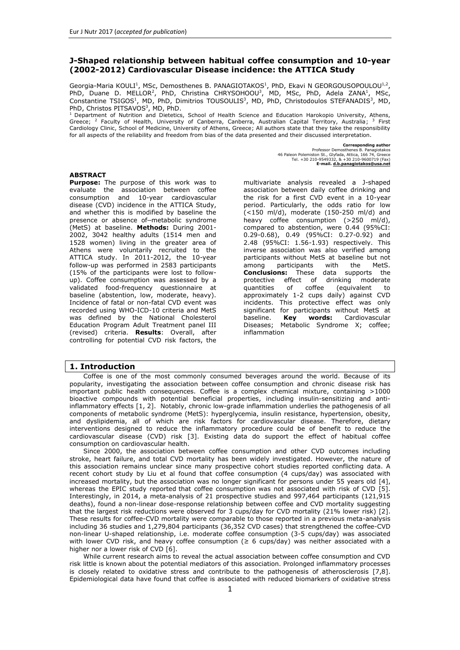since several compounds found in coffee (polyphenols i.e. chlorogenic acid; volatile aroma compounds e.t.c.) contribute to its antioxidant capacity; moreover, several studies have revealed a beneficial, acute effect of coffee consumption on endothelial function [9, 10]. As a result, coffee drinking increases plasma antioxidants that can antagonize the oxidative stress and inflammation process, which both underlie atherogenesis and increase aortic stiffness.

Despite the increasing understanding of the emerging role of chronic inflammation in CVD has stimulated research into the potential protective effect of coffee consumption, a major source of dietary antioxidants, the evaluation of inflammatory and oxidative stress indices on coffee-CVD relationship in the long-term has rarely been studied. Furthermore, very few studies have tested the aforementioned association at high CVD risk people, e.g., hypertensive, diabetic [3, 11]. Therefore, the aim of the current work was to prospectively examine the associations of coffee consumption and the 10-year CVD incidence in the participants of the ATTICA study, and examine whether this is modified by chronic inflammation and oxidative stress status. Secondly, we wished to assess whether this association was affected by the presence of MetS among apparently healthy adults. By answering the tested hypotheses new insights in the coffee consumption - CVD risk associations will be revealed.

## **2. Materials and Methods**

### *2.1 Sampling procedure at baseline examination*

The ATTICA Study is a prospective population-based study that was carried out in the greater metropolitan area of Athens in Greece, which included 78% urban and 22% rural population. The baseline examination of the study was carried out during 2001-2002 [12]. The sampling procedure anticipated enrolling only one participant per household; it was random, multistage and based on the age, sex distribution of the Attica region (census of 2001). Of the 4056 invited individuals at baselineexamination, 3042 agreed to participate (75% participation rate); 1514 of the participants were men (18-87 years) and 1528 were women (18-89 years). All participants were interviewed by trained personnel (cardiologists, general practitioners, dieticians and nurses) who used a standard questionnaire. Exclusion of CVD at baseline evaluation was performed through a detailed clinical evaluation by the physicians of the study. The examination was performed in the individuals' homes or workplaces.

## *2.2 Baseline measurements*

The baseline evaluation included information about demographic characteristics (age, sex), personal history of hypertension, hypercholesterolemia and diabetes, dietary and other lifestyle habits (i.e., smoking status, physical activity, education). In the present analysis, smoking was defined through years of smoking while education was measured in years of school. The evaluation of the dietary habits was based on a validated semi-quantitative food-frequency questionnaire [13], the EPIC-Greek questionnaire that was kindly provided by the Unit of Nutrition of Athens Medical School. On the basis of the FFQ, all participants were asked about their usual frequency (average) of daily coffee consumption.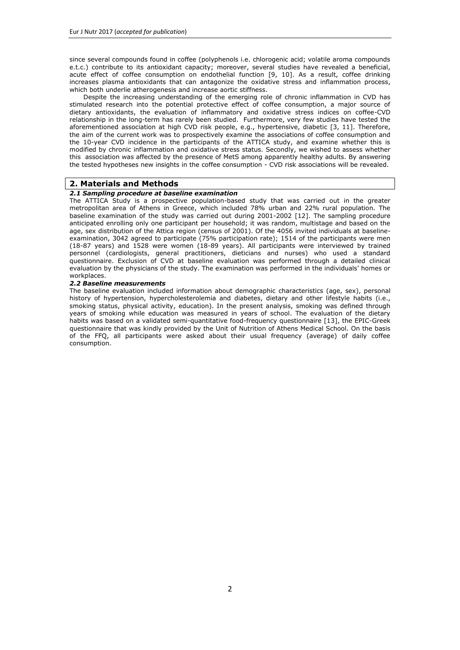| <b>Table 1</b> Demographic and clinical characteristics of the $n = 2020$ participants by daily coffee consumption.       |                                 |                            |                            |                            |                |  |
|---------------------------------------------------------------------------------------------------------------------------|---------------------------------|----------------------------|----------------------------|----------------------------|----------------|--|
|                                                                                                                           | Daily coffee consumption (ml/d) |                            |                            |                            | $\mathbf{P}^1$ |  |
|                                                                                                                           | <b>Never</b>                    | Low                        | <b>Moderate</b>            | High                       |                |  |
|                                                                                                                           | 0                               | $0 - 150$                  | 150-250                    | >250                       |                |  |
|                                                                                                                           | $(n=342)$                       | (n=1126)                   | $(n=338)$                  | $(n=214)$                  |                |  |
| 10-year incidence of CVD, %                                                                                               | 19                              | 16                         | 7                          | 25                         | < 0.001        |  |
| Demographic, lifestyle and clinical characteristics                                                                       |                                 |                            |                            |                            |                |  |
| Age (years)                                                                                                               | $50 \pm 14$                     | $46 \pm 13$                | $36 \pm 12$                | $50 \pm 13$                | < 0.001        |  |
| Gender, % male                                                                                                            | 26                              | 45                         | 66                         | 77                         | < 0.001        |  |
| Smoking (years)                                                                                                           | $20 \pm 11$                     | $20 \pm 12$                | $16 \pm 10$                | $23 \pm 11$                | < 0.001        |  |
| Physical activity, %                                                                                                      | 36                              | 40                         | 41                         | 39                         | 0.38           |  |
| Waist to hip ratio                                                                                                        | $\overline{0.83} \pm 0.09$      | $\overline{0.86} \pm 0.11$ | $\overline{0.86 \pm 0.10}$ | $\overline{0.92} \pm 0.12$ | < 0.001        |  |
| Education (years of school)                                                                                               | $12 \pm 3$                      | $12 \pm 4$                 | $13 \pm 3$                 | $12 \pm 4$                 | < 0.001        |  |
| Hypertension, %yes                                                                                                        | 29                              | 31                         | 21                         | 38                         | < 0.001        |  |
| Diabetes Mellitus, %yes                                                                                                   | 7                               | 8                          | 3                          | 10                         | < 0.001        |  |
| Hypercholesterolemia, %yes                                                                                                | 52                              | 37                         | 29                         | 55                         | < 0.001        |  |
| MedDietScore (range 0-55)                                                                                                 | $25 \pm 6$                      | $26 \pm 7$                 | $27 \pm 7$                 | $24 \pm 6$                 | < 0.001        |  |
| Metabolic Syndrome, %yes                                                                                                  | 21                              | 21                         | 14                         | 24                         | < 0.001        |  |
| <b>Oxidative and Inflammatory biomarkers</b>                                                                              |                                 |                            |                            |                            |                |  |
| Oxidised LDL-C (mg/dL)                                                                                                    | $72 \pm 21$                     | $49 \pm 23$                | $63 \pm 30$                | $83 \pm 22$                | < 0.001        |  |
| Interleukin-6 (ng/mL)                                                                                                     | $1.5 \pm 0.7$                   | $1.5 \pm 0.5$              | $1.4 \pm 0.3$              | $1.5 \pm 0.8$              | < 0.001        |  |
| C-reactive protein (mg/L)                                                                                                 | $2.1 \pm 2.5$                   | $2 \pm 2.5$                | $1.8 \pm 2.3$              | $1.8 \pm 2.1$              | 0.15           |  |
| Homocysteine (µmol/L)                                                                                                     | $11 \pm 4$                      | $12 \pm 6$                 | $12 \pm 7$                 | $13 \pm 5$                 | 0.03           |  |
| Fibrinogen (mg/dL)                                                                                                        | $331 \pm 78$                    | $314 \pm 69$               | $288 \pm 61$               | $319 \pm 67$               | < 0.001        |  |
| $1p$ values for the comparisons between coffee drinking categories derived using the t test, while for the comparisons of |                                 |                            |                            |                            |                |  |

categorical variables using the chi square test.

The MedDietScore was also applied (range 0-55) to evaluate adherence to the Mediterranean diet [14]. For the ascertainment of physical activity status the International Physical Activity Questionnaire was used (IPAQ) [15], as an index of weekly energy expenditure using frequency (times per week), duration (in minutes per time) and intensity of sports or other habits related to physical activity (in expended calories per time). Participants who did not report any physical activities were defined as physically inactive. Waist circumference was measured in the middle between the lowest rib and the iliac crest using an inelastic measuring tape to the nearest 0.5 cm, while waist to hip ratio was also calculated. Arterial blood pressure (mean of 3 recordings) was measured at the end of the baseline physical examination in a sitting position after resting for at least 30 minutes. Participants whose average blood pressure levels were greater or equal to 140/90 mmHg or were under antihypertensive medication were classified as having hypertension. Blood samples were collected from the antecubital vein between 8 to 10 am, in a sitting position after 12 hours of fasting and alcohol abstinence. Blood lipids (total cholesterol, HDL-cholesterol) and triglycerides were measured using chromatographic enzymic method in a Technicon automatic analyser RA-1000 (Dade Behring, Marburg, Germany). Hypercholesterolemia was defined as total cholesterol levels greater than 200 mg/dl or the use of lipids lowering agents. Blood glucose levels (mg/dl) were measured with a Beckman Glucose Analyzer (Beckman Instruments, Fullerton, CA, USA). Diabetes mellitus (type 2) was defined according to the American Diabetes Association diagnostic criteria (i.e., blood glucose levels greater than 125 mg/dl classified participants as having diabetes) [16]. Participants were classified as having the MetS or not, according to the NCEP ATP III (revised 2005) definition. MetS presence was defined if three or more of the following metabolic syndrome components were present: waist circumference  $\geq 102$  cm for males or  $\geq 88$  cm for females; triglyceride level  $\geq 150$  mg/dl; HDL cholesterol level <40 mg/dL for males or <50 mg/dL for females; blood pressure  $\geq$ 130/85 mmHg; fasting blood glucose  $\geq 100$  mg/dL [17].

High sensitivity C-reactive protein was assayed by particle-enhanced immunonephelometry (N Latex, Dade-Behring Marburg GmbH, Marburg, Germany). Participants with chronic inflammation or CRP levels above 10 mg/L were not included in the analyses. Furthermore, inflammatory markers, such as homocysteine, fibrinogen, Interleukin-6 (IL-6)), and oxidative stress markers (plasma oxidized LDL-cholesterol (ox-LDL)), were also measured.

## *2.3 Coffee consumption*

All participants were asked about average coffee drinking habits during the preceding year. Consumption of all reported types of coffee (i.e., instant coffee, brewed coffee, Greek-type coffee, cappuccino or filtered coffee) were recorded in cups of coffee per day (1 cup = 150 ml) and then recalculated (in ml), after adjustment for 28% caffeine containment [18] for analytical reasons. Thus, after this re-calculation, 1 "adjusted" cup of coffee (i.e., 150 ml) could be equivalent to 450 ml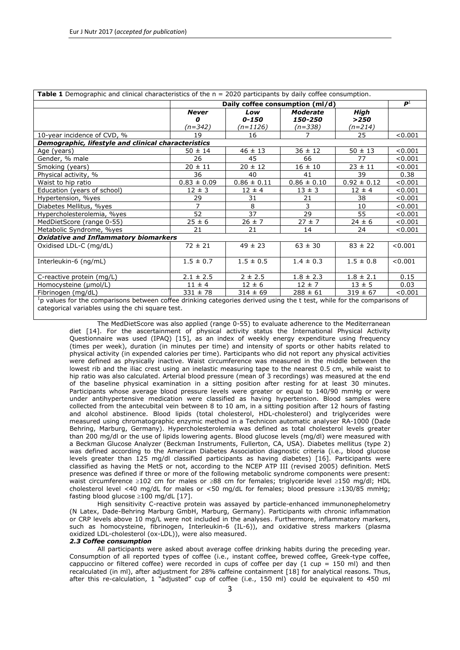brewed coffee or 300 ml instant coffee. According to the observed distribution of coffee drinking pattern, four coffee consumption categories were created: abstention, low (0-150 ml/day), moderate (150-250 ml/day) and high (>250 ml/day). Information of decaffeinated coffee drinking was also recorded, but not used in the analysis because of the very small number of participants reported drinking this type of coffee (n=47).

## *2.4 Follow-up examination (2011-2012)*

During 2011-12, the ATTICA Study's investigators performed the 10-year follow-up (mean follow-up time 8.41 y) [19]. Of the *n*=3042 initially enrolled participants, *n*=2583 were found during the follow-up (85% participation rate). Mean age at baseline (±SD) was 45±14 and 46±14 years for women and men respectively (no difference with the overall sample). Of the individuals that were lost to follow-up (i.e., *n*=459), *n*=224 were not found because of missing or wrong addresses and telephone numbers that they have provided at baseline examination and *n*=235 because they denied being re-examined. Regarding CVD evaluation at follow-up clinically accurate data were obtained from *n*=2020 participants. In order to participate in the follow-up all participants were initially contacted through telephone calls. Afterwards, the investigators approached the *n*=2583 participants that were allocated in the follow-up and performed a detailed evaluation of their medical records. In particular, from June 2011 to June 2012 information about participants': (a) vital status (death from any cause or due to CVD), (b) development of CHD (i.e., myocardial infarction, angina pectoris, other identified forms of ischemia -WHO-ICD coding 410-414.9, 427.2, 427.6-, heart failure of different types, and chronic arrhythmias -WHO-ICD coding 400.0-404.9, 427.0 -427.5, 427.9-), (c) development of stroke (WHO-ICD coding 430-438). The *working* sample size was adequate to achieve 92% statistical power to evaluate relative risk of 0.70 between the null and the alternative two-sided hypothesis, when the exposure variable (i.e., coffee drinking category) was increased by 1-unit and with a significance level (alpha) of 0.05

### *2.5 Bioethics*

The study was approved by the Bioethics Committee of Athens Medical School and was carried out in accordance to the Declaration of Helsinki (1989) of the World Medical Association. Prior to the collection of any information, participants were informed about the aims and procedures of the study and provided their written signed consent.

#### *2.6 Statistical analysis*

Crude, non-fatal and fatal incidence rates of combined CVD (i.e., CHD or stroke) were calculated as the ratio of new cases to the number of people participated in the follow-up. Incidence by coffee drinking status was calculated as the ratio of new cases in each coffee category to the number of participants in the same category. The continuous variables were tested for normality through P-P plots and presented as mean values  $\pm$  standard deviation or as median (1st, 3<sup>rd</sup> quartile) if not normally distributed while categorical variables were presented as relative frequencies. Associations between categorical variables were tested using the chi-square test, while between continuous variables using Pearson *r* or Spearman's *rho* coefficients, for the normally and skewed variables respectively. Comparisons of mean values of normally distributed variables by coffee drinking status were performed using analysis of variance (ANOVA) and post-hoc analyses using Bonferroni rule were performed to account for the inflation of the probability of type-I error. Comparisons between mean values of normally distributed variables between those who developed an event and the rest of the participants were performed using Student's t-test, after controlling for equality of variances using the Levene's test. Comparisons of continuous variables that did not follow the normal distribution were performed using the non-parametric U-test proposed by Mann and Whitney and the Kruskal-Wallis Htest. The hazard ratios (HR) and the corresponding 95% confidence intervals (CI) of developing a CVD event during the 10-year period, according to the participants' baseline characteristics were estimated using Cox proportional hazards models. The time to CVD event was recorded on annual basis. Furthermore, non-linear trend analysis was applied in order to evaluate curve fitting on the effect size measures (hazard ratios) between coffee drinking categories and the outcome. Trend analysis was applied by fitting smoothing lines (linear, quadratic or cubic) on the odds ratios derived by age-sex adjusted analysis, by coffee drinking category (coffee was categorized in 4 categories to perform this analysis, abstention, 0-150 ml, 150-250 ml, >250 ml); the corresponding R-squared values indicated which line best fit the observed data. All reported *p*-values are based on two-sided tests. SPSS version 21 (Statistical Package for Social Sciences, SPSS Inc, Chicago, IL, U.S.A.) software was used for all the statistical calculations.

### **3. Results**

#### *3.1 Ten-year CVD incidence*

The 10-year fatal or non-fatal CVD event rate was 157 cases/ 1000 participants (n=317), 198 being in males (198 cases/ 1000 participants) and 119 being in females (117 cases/ 1000 participants) (p for gender difference <0.001).

**Table 2.** Results from the multi-adjusted Cox proportional hazards models that were developed to evaluate the 10 year risk of having a cardiovascular event (outcome) according to the daily coffee consumption among ATTICA study participants (n=2020).

| All participants | Hazard Ratios (HR), 95% Confidence Intervals |         |         |  |
|------------------|----------------------------------------------|---------|---------|--|
|                  | Model 1                                      | Model 2 | Model 3 |  |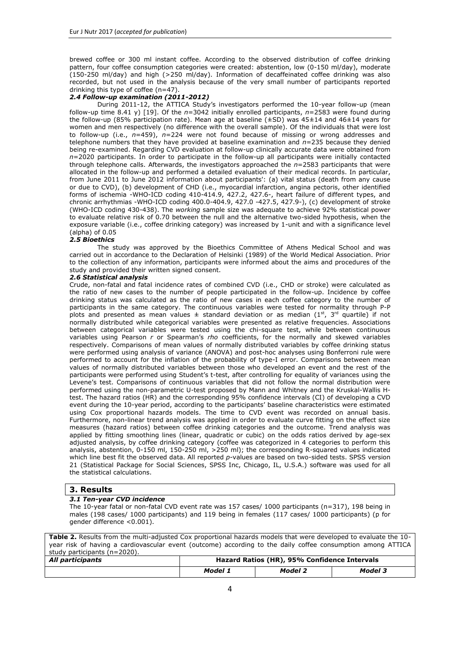| Age (per 1 year)                        | $1.01(1.08-1.10)$      | $1.07(1.05-1.10)$      | $1.06(1.04-1.09)$      |
|-----------------------------------------|------------------------|------------------------|------------------------|
| Men vs. Women                           | $2.13(1.59-2.86)$      | $2.01(1.19-3.40)$      | $1.99(1.16-3.42)$      |
| Coffee drinking                         |                        |                        |                        |
| Low coffee drinkers vs. abstainers      | $0.47(0.32-0.71)^2$    | $0.47(0.31-0.72)^2$    | $0.44(0.29-0.68)^2$    |
| Moderate coffee drinkers vs. abstainers | $0.58(0.31-1.04)^2$    | $0.53(0.29-0.97)^2$    | $0.49(0.27-0.92)^2$    |
| High coffee drinkers vs. abstainers     | $2.81 (1.84 - 4.23)^2$ | 2.62 $(1.67 - 4.09)^2$ | 2.48 $(1.56 - 1.93)^2$ |
| Smokers vs. non smokers                 |                        | $1.00(0.98-1.02)$      | $1.00(0.98-1.02)$      |
| Physically activity vs. inactive        |                        | $0.68(0.45-1.02)$      | $0.68(0.45-1.04)$      |
| Waist to hip ratio                      |                        | $8.7(0.95-80)$         | 3.86 (0.38-39)         |
| Education (years of school)             |                        | $0.97(0.92 - 1.02)$    | $0.98(0.92 - 1.03)$    |
| MedDietScore (range 0-55)               |                        | $0.96(0.93-1.001)$     | $0.96(0.93-0.99)$      |
| Hypertension $(y/n)$                    |                        |                        | $1.13(0.74-1.70)$      |
| Diabetes Mellitus (y/n)                 |                        |                        | $2.4(1.33 - 4.40)$     |
| Hypercholesterolemia (y/n)              |                        |                        | $1.42(0.95-2.13)$      |

## *3.2 Participants' baseline characteristics by coffee drinking status*

Baseline characteristics of the studied sample, by adjusted coffee drinking status (0, <150ml/d, 150-250ml/d, >250 ml/d), are presented in *Table 1*. As it can be seen, compared to abstainers, the group of participants, who were drinking daily lower amounts of coffee up to 1 adjusted cup (<150 ml/d), included younger men, with increased waist to hip ratio, with increased arterial blood pressure and glucose, and decreased levels of blood lipids, who adhered closer to the Mediterranean diet, (all p-values <0.001). Similarly, subjects drinking 1 to 2 adjusted cups of coffee (150-250 ml/d), compared to coffee non-drinkers, were more likely to be younger male participants, lighter smokers, more strongly adhering to the Mediterranean diet (i.e. higher MedDietScore, mean score of 27/55), but also less likely to have a history of hypertension, diabetes, hypercholesterolemia and therefore MetS. Finally, those reporting drinking over 2 adjusted cups of coffee daily (>250 ml/d) when compared to abstainers were the most likely to be male, heavier smokers, obese, lower adherers to the Mediterranean diet, with increased susceptibility to hypertension, diabetes mellitus, hypercholesterolemia and MetS. No significant differences were observed out as regards physical activity levels (*p*=0.38).

Mean circulating concentrations of participants' inflammation state characteristics, by coffee consumption categories, are also shown in *Table 1*. Overall, participants who consumed low and moderate amounts of coffee daily (barely 1-2 cups of coffee) had on average lower ox-LDL, lower fibrinogen but higher homocysteine concentrations, compared to coffee abstainers. Similar results were extracted for fibrinogen and homocysteine levels for heavy coffee drinkers, consuming over 2 cups of coffee daily, but not for ox-LDL levels which were increased. As for the rest of the inflammatory biomarkers, IL-6 was comparable among the 4 groups, while CRP levels did not differ significantly by coffee drinking status ( $p=0.15$ ).

# *3.3 10-year CVD incidence and coffee drinking*

The 10-year incidence of CVD (*Table 1)* was n=60 (19%) among coffee abstainers, n=175 (16%) among participants who consumed lower amounts of coffee,  $n=23$  (7%) among moderate drinkers and  $n=54$  (25%) among heavy coffee drinkers ( $p<0.001$ ). Based on these rates a trend analysis was applied; a J-shape association was revealed (p *for parabolic trend* = 0.05).

| <b>Table 3.</b> Results from the additive Cox proportional hazards models that were developed to<br>evaluate the mediating role of oxidative and inflammatory markers on the association between<br>coffee consumption and the risk of 10-year cardiovascular disease events (outcome). |                                                        |                     |                   |  |
|-----------------------------------------------------------------------------------------------------------------------------------------------------------------------------------------------------------------------------------------------------------------------------------------|--------------------------------------------------------|---------------------|-------------------|--|
|                                                                                                                                                                                                                                                                                         | Hazard Ratios $(HR)^2$ , 95% CI for coffee consumption |                     |                   |  |
|                                                                                                                                                                                                                                                                                         | Low vs. Never                                          | Moderate vs. Never  | High vs. Never    |  |
| Full Model <sup>1</sup>                                                                                                                                                                                                                                                                 | $0.44(0.29-0.68)$                                      | $0.49(0.27-0.92)$   | $2.48(1.56-1.93)$ |  |
| Full Model $1+ C$ -reactive protein                                                                                                                                                                                                                                                     | $0.46(0.24-0.89)$                                      | $0.42(0.18-0.98)$   | $1.60(0.74-3.46)$ |  |
| Full Model $1+$ Oxidised LDL-C                                                                                                                                                                                                                                                          | $0.34(0.12-0.95)$                                      | $0.19(0.05 - 0.83)$ | $1.26(0.46-3.46)$ |  |
| Full Model $^1$ + Interleukin-6                                                                                                                                                                                                                                                         | $0.49(0.25-0.95)$                                      | $0.43(0.18-0.99)$   | $1.62(0.76-3.45)$ |  |
| Full Model <sup>1</sup> + Homocysteine                                                                                                                                                                                                                                                  | $0.57(0.24-0.98)$                                      | $0.50(0.18-0.97)$   | 1.76 (0.66-4.72)  |  |
| Full Model $1 +$ Fibrinogen                                                                                                                                                                                                                                                             | $0.42(0.21-0.82)$                                      | $0.32(0.13-0.75)$   | $1.56(0.69-3.51)$ |  |

However, all the afore mentioned comparisons may be prone to bias due to potential factors; therefore multi-adjusted analysis was performed, controlling for various CVD covariates *(see Table 2).* Age-sex adjusted analysis revealed a significant association between coffee drinking and CVD incidence *(Table 2, Model 1)*; and a J-shape trend was evident (p<0.05). When personal and behavioral characteristics were taken into consideration (i.e., waist to hip circumference ratio, ever smoking, physical activity status, education and adherence to the Mediterranean diet), drinking 1-2 cups of coffee/d was inversely associated with CVD incidence compared to abstention, whereas drinking > 2 cups of coffee daily was associated with increased risk of CVD events *(Table 2, Model*  2); still J-shape trend was evident even after adjusting for the aforementioned lifestyle behaviors. The aforementioned findings regarding the J-shaped trend of coffee drinking on CVD risk remained significant even after controlling for the classical CVD risk factors (i.e., hypertension, diabetes, hypercholesterolemia) *(Table 2, Model 3)*. Moreover, and in order to further take into account the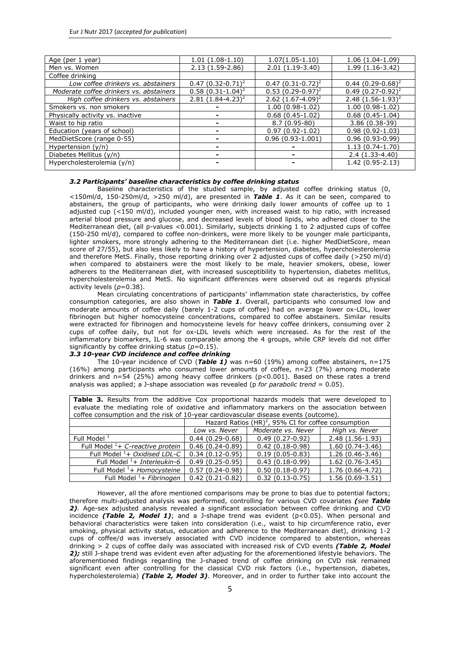role of smoking, a restricted analysis only among never smokers was applied and revealed a similar trend of coffee drinking on CVD risk (HR, 95%CI for abstainers/low/moderate/high coffee drinkers: 1 (*Reference*), 0.46 (0.27, 0.77), 0.49 (0.21, 1.18) and 3.15 (1.86, 5.14), respectively). Coffee intake might also be confounded by specific dietary habits, i.e., intakes of fruits, juices and sugar sweetened beverages; additional analysis based on *Model 3* (Table 2) showed that the J-shaped trend of coffee drinking on CVD risk remained significant even after controlling for the aforementioned covariates (HR, 95%CI for abstainers/low/moderate/high coffee drinkers: 1 (*Reference*), 0.48 (0.32, 0.73), 0.62 (0.34, 1.11) and 2.85 (1.86, 4.38), respectively). Additionally, taking into account that the ATTICA study had previously shown a dose-response relation between coffee consumption and inflammatory markers (C-reactive protein, interleukin-6, oxidative - LDL, homocysteine) [20], the latter biomarkers were entered consecutively and separately in the latest fully adjusted *Model 3*; no alterations as regards the observed J-shaped trend of coffee drinking on CVD risk were found.

Notably, a significant interaction was observed between coffee drinking and presence of MetS on 10-year CVD risk (p *for interaction* = 0.012). This was also supported by the significant association observed between quantity of coffee drinking and prevalence of MetS (*Table 1*). Thus, the analysis was repeated by MetS group at the baseline examination. Based on the additional stratified analysis, it was observed that low and moderate daily coffee consumption compared to coffee abstention remained significantly protective against CVD risk among participants who did not have MetS at baseline (OR for 0-150ml daily vs. abstainers =0.26;95% CI: 0.16, 0.54, HR for 150-250ml daily vs. abstainers =0.18;95% CI: 0.06, 0.52); however coffee consumption was not associated with 10-year CVD risk among participants with MetS.

### **4. Discussion**

The present study demonstrated a J-shaped association between coffee consumption and the 10-year CVD incidence. In particular, low and moderate coffee consumption (150-250 ml coffee/d), was associated with 56% and 51% lower CVD risk respectively, compares to abstention, whereas heavy consumption (>250 ml coffee/d) was associated with a significant 2.5-fold increase in risk, independently of the known potential confounders including lifestyle factors and clinical characteristics. However, in an effort to identify potential mediators of the above mentioned association we failed to identify any of the known inflammatory biomarkers as having such a mediating effect. The protective effect of consuming daily 1-2 cups of coffee daily was significant in the overall sample and among MetS free participants but not in high-CVD risk individuals (i.e MetS subjects), indicating that atherosclerotic mechanisms have already been triggered in earlier stages of their life and have, thus possibly neutralizing the protective effect of coffee on CVD risk [21-23]. In any case, the reported findings offer a considerable message for public health i.e. long-term low and moderate daily coffee drinking may be of benefit on 10-year risk for CVD, whereas heavy consumption is associated with significantly increased risk in healthy adults.

A potential biological mechanism for the inverse association of low and moderate coffee consumption with 10-year CVD incidence may be related, according to recent studies, to the fact that coffee is a source of antioxidants that may influence oxidative stress and endothelium function [3,24]. An imbalance of antioxidant defences and the production of reactive oxygen species can contribute to the pathogenesis and progression of atherosclerosis via various pathways [25, 26]. During inflammation, the produced, by active NADPH oxidase, superoxide  $(O_2)$  leads to other reactive oxygen species. Apart from the respiratory burst, mitochondrial electron transport chain during inflammation produces extra O<sub>2</sub> that generates oxidative stress [27]. Chlorogenic acid (CGA) is the most prevalent polyphenol in coffee and has high bioavailability. Moreover, recent data support that polyphenols offer protection by stimulating endogenous antioxidant defence systems through specific gene response elements that are inducible by oxidative stress [28, 29]. In the context, CGA, the most highly prevalent polyphenol in coffee, may play a key role in acutely raising the plasma antioxidant capacity in healthy adults, thereby lowering the risk of atherosclerosis [30, 31].

The observed J-shaped association between coffee consumption and CVD risk (i.e., low/moderate consumption seems beneficial, whereas increased consumption may be harmful) can also be based on other plausible biological mechanisms. In particular, coffee is a composite brew with several bioactive compounds including caffeine, CGA, diterpene alcohols, minerals such as potassium and magnesium, niacin and lignans [1]. Several studies have concluded that coffee has been inversely associated with diabetes risk and CRP levels [9, 10]. However, caffeine in higher concentrations has been associated with acute increases in blood pressure and adverse effects on arterial stiffness and endothelium dependent vasodilation [6]. Furthermore, long-term heavy coffee consumption has been associated with risk of hypertension and higher homocysteine levels [11]. Thus, it remains to be further studied if the association between coffee and homocysteine levels explains the J-shaped association. It is therefore possible that with low and moderate coffee consumption, beneficial effects may be greater, whereas with heavy coffee consumption, negative effects may counterbalance the positive ones.

To our knowledge, based on a large sample of healthy subjects, this prospective study is one of the few in the literature that suggests a J-shaped association between coffee consumption and the risk of developing CVD [2, 4-6]. Until recently case-control studies have reported a J-shaped relation between coffee consumption and the risk of CVD [10, 32]. In accordance with our findings the Greek CARDIO2000 case-control study examined the association between coffee consumption and the risk of developing acute coronary syndromes based on a large sample of coronary patients and CVD-free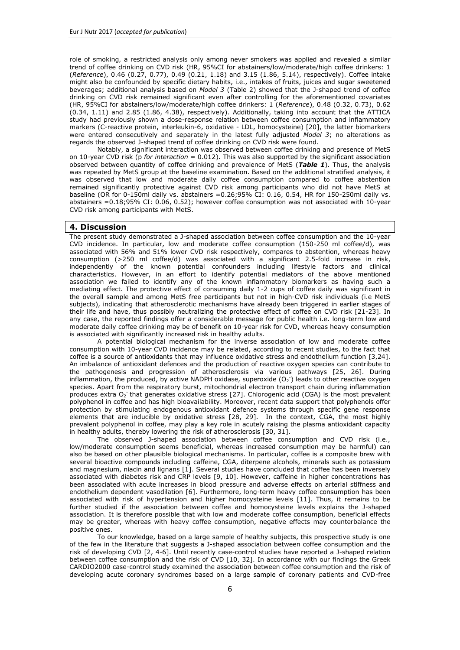controls. After controlling for the presence of known CVD confounders, the analysis raised a J-shaped association between the quantity of coffee consumed per day and the risk of developing acute coronary syndromes. Moderate coffee consumption (<300 ml coffee/d), was associated with a lower coronary risk, whereas heavy or very heavy consumption (>300 ml/d) was associated with a significant increase in risk [32]. This result may explain partially the contradictory results reports by earlier studies.

Although many studies in the past have attempted to assess the role of coffee consumption on CVD incidence, the findings remain inconsistent mainly as a result of the different study designs. With the exception of few studies, a recent meta-analysis of prospective cohort studies has concluded that moderate coffee (3-5 cups/d) consumption was inversely significantly associated with CVD risk, while heavy consumption was not, demonstrating a non-linear U-shaped association [6]. However, residual confounding by smoking may have biased the association for heavy coffee drinkers (higher prevalence of cigarette smoking) upward. The U- or J-shaped association could be attributed to the coffee's preparation: at higher intakes of coffee prepared, the intake of atherogenic coffee lipids may outweigh the potentially beneficial micronutrient compounds of coffee. Cohort studies generally showed a null association. Differences among studies in sample sizes, the characteristics of the study populations, the assessment methods for coffee consumption, and the statistical adjustments may have contributed to divergent results [33]. Since the true association between coffee consumption and CVD risk is likely to be modest and non linear, the differences in coffee assessments and covariate adjustments may result in changing the magnitude and even the direction of the associations and thus lead to different conclusions.

The major strengths of the present study are its prospective design, the large sample size from general population and a long period of follow up (10-years), which allowed us to assess the incidence of several outcomes. It is the first prospective study suggesting a J-shaped association between coffee consumption and 10-year CVD incidence, compared to case-control studies where recall biases affect their results. Another advantage of our study was that we conducted a first-event dose-response analysis which provides a comprehensive description of the shape of low/moderate and heavy coffee consumption that can be proved to be cardioprotective or detrimental for cardiovascular health. Particularly, our study is one of the few that extracted significant protective results for minimum daily coffee quantities reaching barely 1-2 cups of coffee that can contribute to the CVD prevention. Furthermore, our results remained significant when potential CVD confounders were taken into consideration among participants with or without the MetS; a condition that poses individuals by default at high CVD risk. In this work it was confirmed that low and moderate coffee consumption may reduce CVD risk among people at low risk, whereas focusing on high CVD risk individuals (e.g. with MetS) the protective effect of this habit seems to disappear. This carries a specific health message, since the adoption of dietary habits are more likely to reflect real practices of generally healthy individuals trying to reverse the results of several decades of oxidative stress.

#### *4.1 Limitations*

However, some limitations of the study should be acknowledged. Firstly, coffee consumption was assessed by FFQ at the time of recruitment and relied on participants' self report even though, results from dietary validation studies suggest that the use of FFQ for coffee self-report assessment is highly reproducible and agrees well with assessments using diet records [34]. Secondly, the number of cases is relatively few, but according to our statistical power analysis a-posteriori the achieved power was enough to evaluate the observed associations in our results. Furthermore, some participants may have changed their coffee habits during the long follow-up of 10 years, but the same research methodology has been widely used in prospective studies, thus, the results are comparable. As previously described, filtering may alter coffee's metabolic effects. The method of coffee preparation was not assessed in our study in our study population, and we were therefore not able to study whether the association between coffee consumption and CVD depends on the filtering of coffee. Next, we did not include information of decaffeinated coffee drinking which was also recorded, but not used in the analyses because of the very small number of participants reported drinking this type of coffee (n=47).

#### *4.2 Conclusions*

Our findings provide an important public message, since moderate coffee appears to be beneficial on long-term CVD prevention, whereas heavy consumption is associated with significant increase of the 10-year CVD risk. The present study suggests a J-shaped coffee-CVD association that may partially explain the contradictory findings reported by previous studies. Interestingly, none of the inflammatory factors, speculated to mediate the coffee CVD association, seemed to modify significantly the association we observed. Finally, our findings that among subjects with MetS and hence after several years of exposure to oxidative stress, the protective effect of low to moderate coffee consumption against CVD was lost, suggests that it can only have such beneficial/preventive effects if such a habit is acquired at a relatively young age.

### **Acknowledgements**

The authors would like to thank the ATTICA study group of investigators: Yannis Skoumas, Natasa Katinioti, Labros Papadimitriou, Constantina Masoura, Spiros Vellas, Yannis Lentzas, Manolis Kambaxis, Konstanitna Paliou, Vassiliki Metaxa, Agathi Ntzouvani, Dimitris Mpougatas, Nikolaos Skourlis, Christina Papanikolaou, Aikaterini Kalogeropoulou, Evangelia Pitaraki, Alexandros Laskaris, Mihail Hatzigeorgiou and Athanasios Grekas, Eleni Kokkou for either assistance in the initial physical examination and follow-up evaluation, Efi Tsetsekou for her assistance in psychological evaluation and follow-up evaluation, as well as laboratory team: Carmen Vassiliadou and George Dedousis (genetic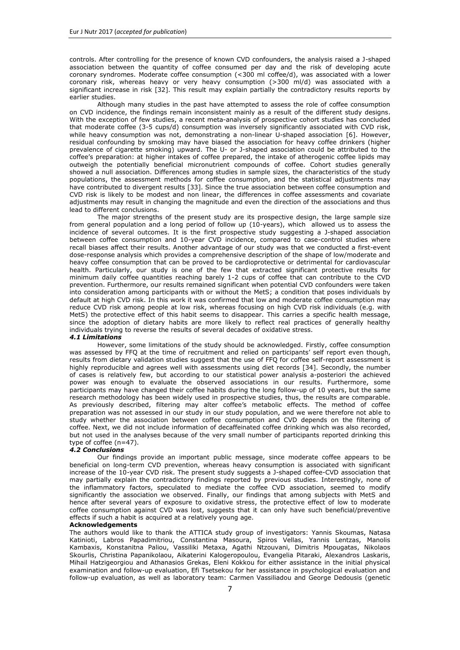analysis), Marina Toutouza-Giotsa, Constantina Tselika and Sia Poulopouloou (biochemical analysis) and Maria Toutouza for the database management.

#### **Conflict of interest**

The authors declare that they have no conflict of interest.

## **Contributors**

Georgia-Maria Kouli had the concept of the paper, performed data analyses and interpreted the results. Demosthenes Panagiotakos, Christina Chrysohoou, Ekavi Georgousopoulou, contributed by providing the design of the study, critically reviewed the paper and approved the final version, Adela Zana, Constantine Tsigos, Dimitrios Tousoulis, Christodoulos Stefanadis and Christos Pitsavos critically reviewed the paper. All authors approved the final version.

**Funding:** D.B. Panagiotakos and E. Georgousopoulou received research grants by Coca-Cola SA. The ATTICA Study has been funded by research grants from the Hellenic Cardiology Society and the Hellenic Atherosclerosis Society.

## **5. References**

- 1. O'Keefe JH, Bhatti SK, Patil HR, DiNicolantonio JJ, Lucan SC, Lavie CJ (2013) Effects of habitual coffee consumption on cardiometabolic disease, cardiovascular health, and all-cause mortality. J Am Coll Cardiol 17;62:1043-51. doi: 10.1016/j.jacc.2013.06.035.
- 2. Crippa A, Discacciati A, Larsson SC, Wolk A, Orsini N (2014) Coffee consumption and mortality from all causes, cardiovascular disease, and cancer: a dose-response meta-analysis. Am J Epidemiol 180:763-75. doi:10.1093/aje/kwu194.
- 3. Lopez-Garcia E, van Dam RM, Qi L, Hu FB (2006) Coffee consumption and markers of inflammation and endothelial dysfunction in healthy and diabetic women. Am J Clin Nutr 84:888- 93.
- 4. Liu J, Sui X, Lavie CJ, Hebert JR, Earnest CP, Zhang J, Blair SN (2013) Association of coffee consumption with all-cause and cardiovascular disease mortality. Mayo Clin Proc 88:1066-74. doi: 10.1016/j.mayocp.2013.06.020.
- 5. Floegel A, Pischon T, Bergmann MM, Teucher B, Kaaks R, Boeing H (2012) Coffee consumption and risk of chronic disease in the European Prospective Investigation into Cancer and Nutrition (EPIC)-Germany study. Am J Clin Nutr 95:901-8. doi: 10.3945/ajcn.111.023648.
- 6. Ding M, Bhupathiraju SN, Satija A, van Dam RM, Hu FB (2014) Long-term coffee consumption and risk of cardiovascular disease: a systematic review and a dose-response meta-analysis of prospective cohort studies. Circulation 129:643-59. doi: 10.1161/CIRCULATIONAHA.113.005925.
- 7. Zampelas A, Panagiotakos DB, Pitsavos C, Chrysohoou C, Stefanadis C (2004) Associations between coffee consumption and inflammatory markers in healthy persons: the ATTICA study. Am J Clin Nutr 80:862-7.
- 8. Yamashita K, Yatsuya H, Muramatsu T, Toyoshima H, Murohara T, Tamakoshi K (2012) Association of coffee consumption with serum adiponectin, leptin, inflammation and metabolic markers in Japanese workers: a cross-sectional study. Nutr Diabetes 2:e33. doi: 10.1038/nutd.2012.6.
- 9. Andersen LF, Jacobs DR Jr, Carlsen MH, Blomhoff R (2006) Consumption of coffee is associated with reduced risk of death attributed to inflammatory and cardiovascular diseases in the Iowa Women's Health Study. Am J Clin Nutr 83:1039-46.
- 10. Vlachopoulos C, Panagiotakos D, Ioakeimidis N, Dima I, Stefanadis C (2005) Chronic coffee consumption has a detrimental effect on aortic stiffness and wave reflections. Am J Clin Nutr 81:1307-12.
- 11. Mesas AE, Leon-Muñoz LM, Rodriguez-Artalejo F, Lopez-Garcia E (2011) The effect of coffee on blood pressure and cardiovascular disease in hypertensive individuals: a systematic review and meta-analysis. Am J Clin Nutr 94:1113-26. doi: 10.3945/ajcn.111.016667.
- 12. Pitsavos C, Panagiotakos DB, Chrysohoou C, Stefanadis C (2003) Epidemiology of cardiovascular risk factors in Greece: aims, design and baseline characteristics of the ATTICA study. BMC Public Health 3:32.
- 13. Katsouyanni K, Rimm EB, Gnardellis C, Trichopoulos D, Polychronopoulos E, Trichopoulou A (1997) Reproducibility and relative validity of an extensive semiquantitative food frequency questionnaire using dietary records and biochemical markers among Greek schoolteachers. Int J Epidemiol 26: S118-127.
- 14. Panagiotakos DB, Pitsavos C, Stefanadis C (2006) Dietary patterns: a Mediterranean diet score and its relation to clinical and biological markers of cardiovascular disease risk. Nutr Metab Cardiovasc Dis 16: 559-568.
- 15. Papathanasiou G, Georgoudis G, Papandreou M, Spyropoulos P, Georgakopoulos D, Kalfakakou V, Evangelou A. (2009) Reliability measures of the short International Physical Activity Questionnaire (IPAQ) in Greek young adults. Hellenic J Cardiol 50:283-294.
- 16. American Diabetes Association (1997) Report of the Expert Committee on the Diagnosis and Classification of Diabetes Mellitus. Diabetes Care 20: 1183-97.
- 17. Grundy SM, Brewer HB Jr., Cleeman JI, Smith SC Jr., Lenfant C (2004) Definition of metabolic syndrome: report of the National Heart, Lung, and Blood Institute/American Heart Association conference on scientific issues related to definition. Circulation 109:433– 8.